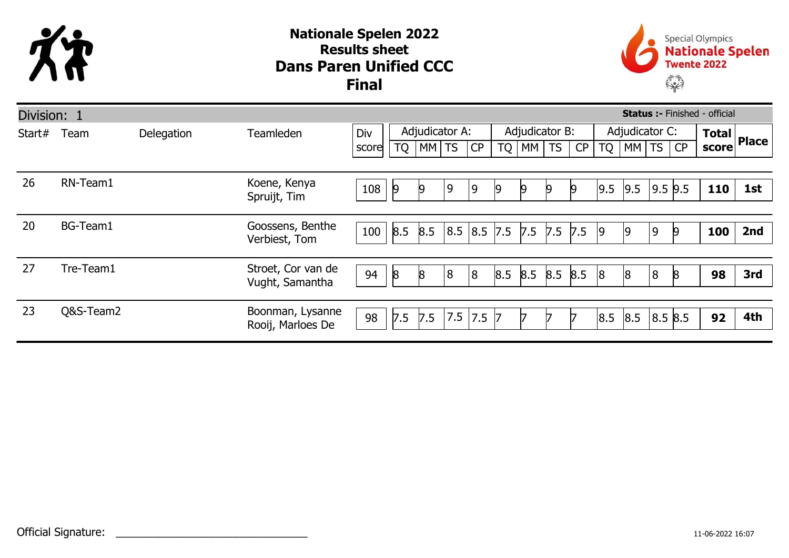

## Dans Paren Unified CCC Nationale Spelen 2022 Results sheet Final



| <b>Status :- Finished - official</b><br>Division: 1 |           |            |                                       |       |                |           |     |                |           |                |                |                |                |     |         |    |       |              |
|-----------------------------------------------------|-----------|------------|---------------------------------------|-------|----------------|-----------|-----|----------------|-----------|----------------|----------------|----------------|----------------|-----|---------|----|-------|--------------|
| Start#                                              | Team      | Delegation | Teamleden                             | Div   | Adjudicator A: |           |     |                |           | Adjudicator B: |                |                | Adjudicator C: |     |         |    | Total |              |
|                                                     |           |            |                                       | score | TQ             | $ MM $ TS |     | CP             | <b>TQ</b> | MM             | <b>TS</b>      | CP             | <b>TQ</b>      | МM  | TS      | CP | score | <b>Place</b> |
|                                                     |           |            |                                       |       |                |           |     |                |           |                |                |                |                |     |         |    |       |              |
| 26                                                  | RN-Team1  |            | Koene, Kenya<br>Spruijt, Tim          | 108   | $\vert 9$      | $\vert 9$ | 9   | $\overline{9}$ | 9         | $\vert 9$      | $\overline{9}$ | $\overline{9}$ | 9.5            | 9.5 | 9.5 9.5 |    | 110   | 1st          |
|                                                     |           |            |                                       |       |                |           |     |                |           |                |                |                |                |     |         |    |       |              |
| 20                                                  | BG-Team1  |            | Goossens, Benthe<br>Verbiest, Tom     | 100   | 8.5            | 8.5       | 8.5 | 8.5 7.5        |           | 7.5            | 7.5            | 7.5            | 9              | 19  | 9       |    | 100   | 2nd          |
|                                                     |           |            |                                       |       |                |           |     |                |           |                |                |                |                |     |         |    |       |              |
| 27                                                  | Tre-Team1 |            | Stroet, Cor van de<br>Vught, Samantha | 94    | 8              | 8         | 8   | $\sqrt{8}$     | 8.5       | 8.5            | 8.5            | 8.5            | 8              | 8   | 8       |    | 98    | 3rd          |
|                                                     |           |            |                                       |       |                |           |     |                |           |                |                |                |                |     |         |    |       |              |
| 23                                                  | Q&S-Team2 |            | Boonman, Lysanne<br>Rooij, Marloes De | 98    | 7.5            | 7.5       | 7.5 | 7.5            | 17        |                |                |                | 8.5            | 8.5 | 8.5 8.5 |    | 92    | 4th          |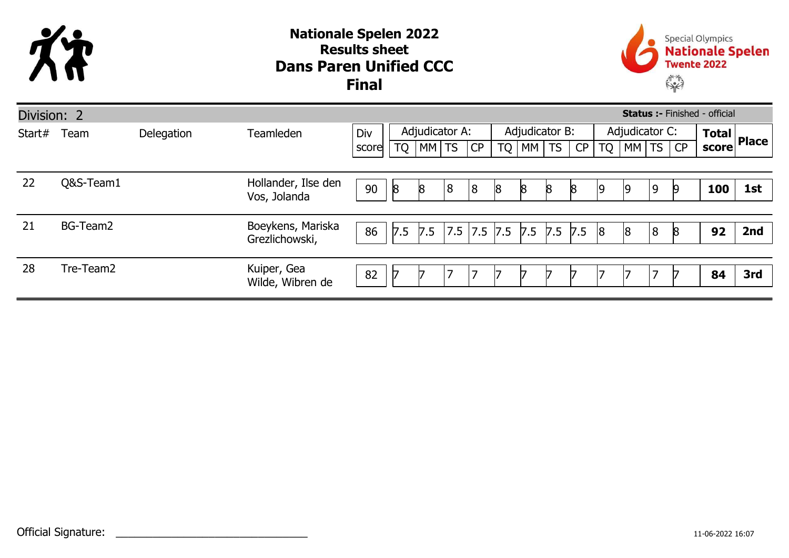

## Dans Paren Unified CCC Nationale Spelen 2022 Results sheet Final



| Division: 2<br><b>Status :- Finished - official</b> |           |            |                                 |       |                 |       |     |         |                |                  |            |     |                |                               |   |   |              |              |
|-----------------------------------------------------|-----------|------------|---------------------------------|-------|-----------------|-------|-----|---------|----------------|------------------|------------|-----|----------------|-------------------------------|---|---|--------------|--------------|
| Start#                                              | Team      | Delegation | Teamleden                       | Div   | Adjudicator A:  |       |     |         | Adjudicator B: |                  |            |     | Adjudicator C: |                               |   |   | <b>Total</b> | <b>Place</b> |
|                                                     |           |            |                                 | score | <b>TQ</b>       | MM TS |     | CP      | <b>TQ</b>      | $\mid$ MM $\mid$ | $\vert$ TS | CP  | <b>TQ</b>      | $\vert$ MM $\vert$ TS $\vert$ |   |   | score        |              |
|                                                     |           |            |                                 |       |                 |       |     |         |                |                  |            |     |                |                               |   |   |              |              |
| 22                                                  | Q&S-Team1 |            | Hollander, Ilse den             | 90    | $8\overline{8}$ | 8     | 8   | 8       | 8              | 18               | 8          | 8   | 19             | 19                            | 9 |   | 100          | 1st          |
|                                                     |           |            | Vos, Jolanda                    |       |                 |       |     |         |                |                  |            |     |                |                               |   |   |              |              |
| 21                                                  | BG-Team2  |            | Boeykens, Mariska               | 86    | 7.5             | 7.5   | 7.5 | 7.5 7.5 |                | $7.5$ 7.5        |            | 7.5 | 8              | 8                             | 8 | 8 | 92           | 2nd          |
|                                                     |           |            | Grezlichowski,                  |       |                 |       |     |         |                |                  |            |     |                |                               |   |   |              |              |
|                                                     |           |            |                                 |       |                 |       |     |         |                |                  |            |     |                |                               |   |   |              |              |
| 28                                                  | Tre-Team2 |            | Kuiper, Gea<br>Wilde, Wibren de | 82    |                 |       |     | 7       |                |                  |            |     |                |                               |   |   | 84           | 3rd          |
|                                                     |           |            |                                 |       |                 |       |     |         |                |                  |            |     |                |                               |   |   |              |              |